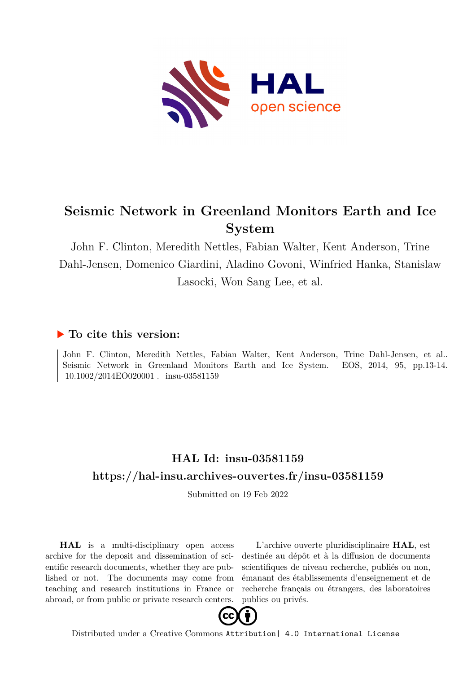

## **Seismic Network in Greenland Monitors Earth and Ice System**

John F. Clinton, Meredith Nettles, Fabian Walter, Kent Anderson, Trine Dahl-Jensen, Domenico Giardini, Aladino Govoni, Winfried Hanka, Stanislaw Lasocki, Won Sang Lee, et al.

### **To cite this version:**

John F. Clinton, Meredith Nettles, Fabian Walter, Kent Anderson, Trine Dahl-Jensen, et al.. Seismic Network in Greenland Monitors Earth and Ice System. EOS, 2014, 95, pp.13-14. 10.1002/2014EO020001. insu-03581159

### **HAL Id: insu-03581159 <https://hal-insu.archives-ouvertes.fr/insu-03581159>**

Submitted on 19 Feb 2022

**HAL** is a multi-disciplinary open access archive for the deposit and dissemination of scientific research documents, whether they are published or not. The documents may come from teaching and research institutions in France or abroad, or from public or private research centers.

L'archive ouverte pluridisciplinaire **HAL**, est destinée au dépôt et à la diffusion de documents scientifiques de niveau recherche, publiés ou non, émanant des établissements d'enseignement et de recherche français ou étrangers, des laboratoires publics ou privés.



Distributed under a Creative Commons [Attribution| 4.0 International License](http://creativecommons.org/licenses/by/4.0/)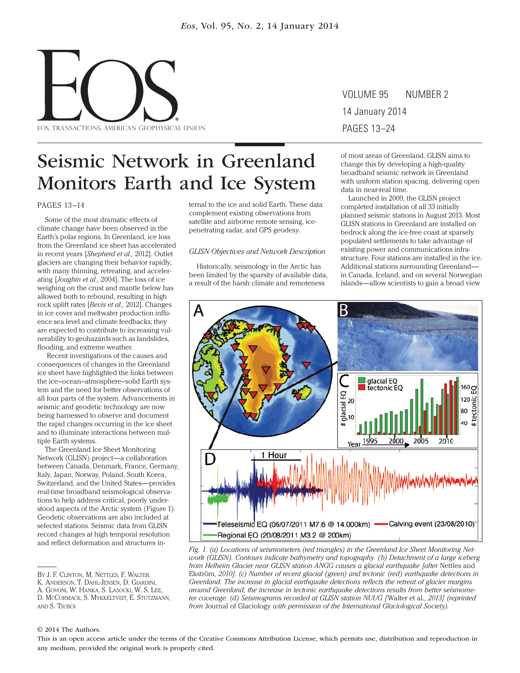

# VOLUME 95 NUMBER 2 14 January 2014

## Seismic Network in Greenland Monitors Earth and Ice System

#### PAGES 13–14

 Some of the most dramatic effects of climate change have been observed in the Earth's polar regions. In Greenland, ice loss from the Greenland ice sheet has accelerated in recent years [*Shepherd et al.,* 2012]. Outlet glaciers are changing their behavior rapidly, with many thinning, retreating, and accelerating [*Joughin et al.,* 2004]. The loss of ice weighing on the crust and mantle below has allowed both to rebound, resulting in high rock uplift rates [*Bevis et al.,* 2012]. Changes in ice cover and meltwater production influence sea level and climate feedbacks; they are expected to contribute to increasing vulnerability to geohazards such as landslides, flooding, and extreme weather.

 Recent investigations of the causes and consequences of changes in the Greenland ice sheet have highlighted the links between the ice-ocean-atmosphere-solid Earth system and the need for better observations of all four parts of the system. Advancements in seismic and geodetic technology are now being harnessed to observe and document the rapid changes occurring in the ice sheet and to illuminate interactions between multiple Earth systems.

The Greenland Ice Sheet Monitoring Network (GLISN) project—a collaboration between Canada, Denmark, France, Germany, Italy, Japan, Norway, Poland, South Korea, Switzerland, and the United States—provides real-time broadband seismological observations to help address critical, poorly understood aspects of the Arctic system (Figure 1). Geodetic observations are also included at selected stations. Seismic data from GLISN record changes at high temporal resolution and reflect deformation and structures internal to the ice and solid Earth. These data complement existing observations from satellite and airborne remote sensing, ice penetrating radar, and GPS geodesy.

#### *GLISN Objectives and Network Description*

Historically, seismology in the Arctic has been limited by the sparsity of available data, a result of the harsh climate and remoteness

of most areas of Greenland. GLISN aims to change this by developing a high-quality broadband seismic network in Greenland with uniform station spacing, delivering open data in near-real time.

Launched in 2009, the GLISN project completed installation of all 33 initially planned seismic stations in August 2013. Most GLISN stations in Greenland are installed on bedrock along the ice-free coast at sparsely populated settlements to take advantage of existing power and communications infrastructure. Four stations are installed in the ice. Additional stations surrounding Greenland in Canada, Iceland, and on several Norwegian islands—allow scientists to gain a broad view



*Fig. 1. (a) Locations of seismometers (red triangles) in the Greenland Ice Sheet Monitoring Network (GLISN). Contours indicate bathymetry and topography. (b) Detachment of a large iceberg from Helheim Glacier near GLISN station ANGG causes a glacial earthquake [after Nettles and* Ekström, *2010]. (c) Number of recent glacial (green) and tectonic (red) earthquake detections in Greenland. The increase in glacial earthquake detections reflects the retreat of glacier margins around Greenland; the increase in tectonic earthquake detections results from better seismometer coverage. (d) Seismograms recorded at GLISN station NUUG [*Walter et al., *2013] (reprinted from* Journal of Glaciology *with permission of the International Glaciological Society).*

#### © 2014 The Authors.

This is an open access article under the terms of the Creative Commons Attribution License, which permits use, distribution and reproduction in any medium, provided the original work is properly cited.

BY J. F. CLINTON, M. NETTLES, F. WALTER,

K. ANDERSON, T. DAHL-JENSEN, D. GIARDINI,

A. GOVONI, W. HANKA, S. LASOCKI, W. S. LEE,

D. MCCORMACK, S. MYKKELTVEIT, E. STUTZMANN, AND S. TSUBOI